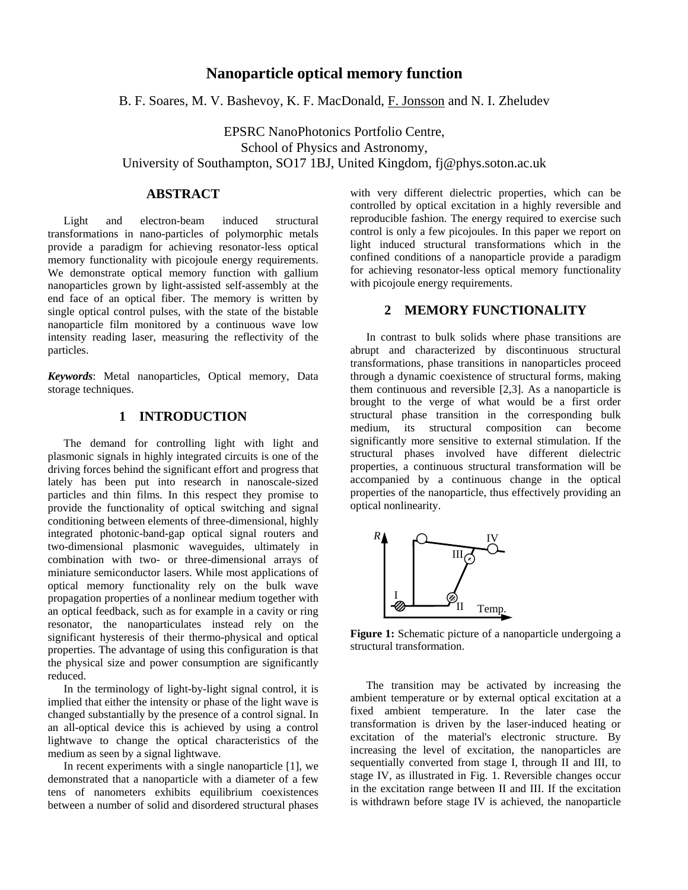# **Nanoparticle optical memory function**

B. F. Soares, M. V. Bashevoy, K. F. MacDonald, F. Jonsson and N. I. Zheludev

EPSRC NanoPhotonics Portfolio Centre, School of Physics and Astronomy, University of Southampton, SO17 1BJ, United Kingdom, fj@phys.soton.ac.uk

# **ABSTRACT**

Light and electron-beam induced structural transformations in nano-particles of polymorphic metals provide a paradigm for achieving resonator-less optical memory functionality with picojoule energy requirements. We demonstrate optical memory function with gallium nanoparticles grown by light-assisted self-assembly at the end face of an optical fiber. The memory is written by single optical control pulses, with the state of the bistable nanoparticle film monitored by a continuous wave low intensity reading laser, measuring the reflectivity of the particles.

*Keywords*: Metal nanoparticles, Optical memory, Data storage techniques.

## **1 INTRODUCTION**

The demand for controlling light with light and plasmonic signals in highly integrated circuits is one of the driving forces behind the significant effort and progress that lately has been put into research in nanoscale-sized particles and thin films. In this respect they promise to provide the functionality of optical switching and signal conditioning between elements of three-dimensional, highly integrated photonic-band-gap optical signal routers and two-dimensional plasmonic waveguides, ultimately in combination with two- or three-dimensional arrays of miniature semiconductor lasers. While most applications of optical memory functionality rely on the bulk wave propagation properties of a nonlinear medium together with an optical feedback, such as for example in a cavity or ring resonator, the nanoparticulates instead rely on the significant hysteresis of their thermo-physical and optical properties. The advantage of using this configuration is that the physical size and power consumption are significantly reduced.

In the terminology of light-by-light signal control, it is implied that either the intensity or phase of the light wave is changed substantially by the presence of a control signal. In an all-optical device this is achieved by using a control lightwave to change the optical characteristics of the medium as seen by a signal lightwave.

In recent experiments with a single nanoparticle [1], we demonstrated that a nanoparticle with a diameter of a few tens of nanometers exhibits equilibrium coexistences between a number of solid and disordered structural phases

with very different dielectric properties, which can be controlled by optical excitation in a highly reversible and reproducible fashion. The energy required to exercise such control is only a few picojoules. In this paper we report on light induced structural transformations which in the confined conditions of a nanoparticle provide a paradigm for achieving resonator-less optical memory functionality with picojoule energy requirements.

### **2 MEMORY FUNCTIONALITY**

In contrast to bulk solids where phase transitions are abrupt and characterized by discontinuous structural transformations, phase transitions in nanoparticles proceed through a dynamic coexistence of structural forms, making them continuous and reversible [2,3]. As a nanoparticle is brought to the verge of what would be a first order structural phase transition in the corresponding bulk medium, its structural composition can become significantly more sensitive to external stimulation. If the structural phases involved have different dielectric properties, a continuous structural transformation will be accompanied by a continuous change in the optical properties of the nanoparticle, thus effectively providing an optical nonlinearity.



Figure 1: Schematic picture of a nanoparticle undergoing a structural transformation.

The transition may be activated by increasing the ambient temperature or by external optical excitation at a fixed ambient temperature. In the later case the transformation is driven by the laser-induced heating or excitation of the material's electronic structure. By increasing the level of excitation, the nanoparticles are sequentially converted from stage I, through II and III, to stage IV, as illustrated in Fig. 1. Reversible changes occur in the excitation range between II and III. If the excitation is withdrawn before stage IV is achieved, the nanoparticle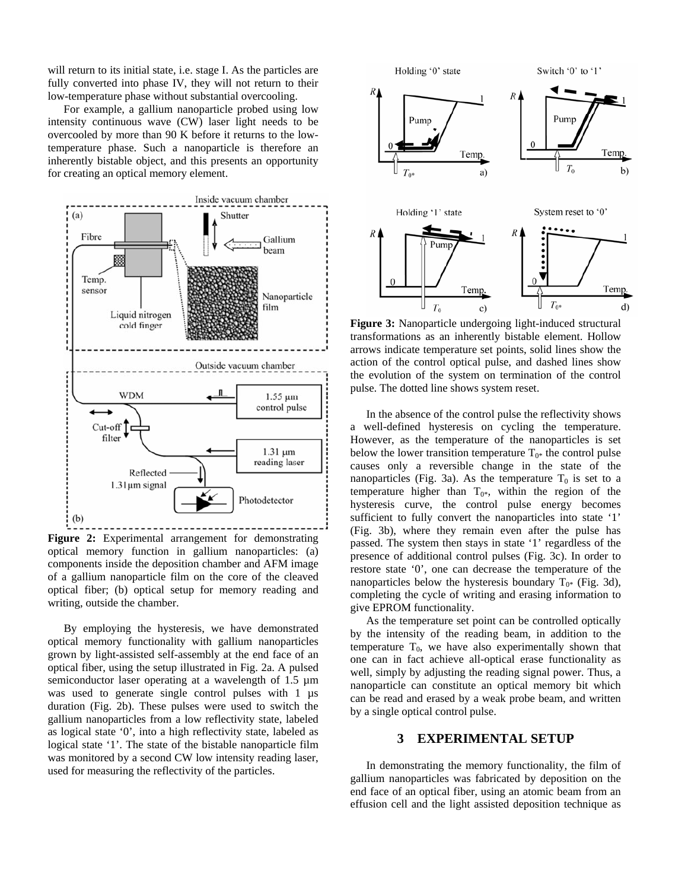will return to its initial state, i.e. stage I. As the particles are fully converted into phase IV, they will not return to their low-temperature phase without substantial overcooling.

For example, a gallium nanoparticle probed using low intensity continuous wave (CW) laser light needs to be overcooled by more than 90 K before it returns to the lowtemperature phase. Such a nanoparticle is therefore an inherently bistable object, and this presents an opportunity for creating an optical memory element.



**Figure 2:** Experimental arrangement for demonstrating optical memory function in gallium nanoparticles: (a) components inside the deposition chamber and AFM image of a gallium nanoparticle film on the core of the cleaved optical fiber; (b) optical setup for memory reading and writing, outside the chamber.

By employing the hysteresis, we have demonstrated optical memory functionality with gallium nanoparticles grown by light-assisted self-assembly at the end face of an optical fiber, using the setup illustrated in Fig. 2a. A pulsed semiconductor laser operating at a wavelength of 1.5  $\mu$ m was used to generate single control pulses with 1  $\mu$ s duration (Fig. 2b). These pulses were used to switch the gallium nanoparticles from a low reflectivity state, labeled as logical state '0', into a high reflectivity state, labeled as logical state '1'. The state of the bistable nanoparticle film was monitored by a second CW low intensity reading laser, used for measuring the reflectivity of the particles.



**Figure 3:** Nanoparticle undergoing light-induced structural transformations as an inherently bistable element. Hollow arrows indicate temperature set points, solid lines show the action of the control optical pulse, and dashed lines show the evolution of the system on termination of the control pulse. The dotted line shows system reset.

In the absence of the control pulse the reflectivity shows a well-defined hysteresis on cycling the temperature. However, as the temperature of the nanoparticles is set below the lower transition temperature  $T_{0*}$  the control pulse causes only a reversible change in the state of the nanoparticles (Fig. 3a). As the temperature  $T_0$  is set to a temperature higher than  $T_{0*}$ , within the region of the hysteresis curve, the control pulse energy becomes sufficient to fully convert the nanoparticles into state '1' (Fig. 3b), where they remain even after the pulse has passed. The system then stays in state '1' regardless of the presence of additional control pulses (Fig. 3c). In order to restore state '0', one can decrease the temperature of the nanoparticles below the hysteresis boundary  $T_{0^*}$  (Fig. 3d), completing the cycle of writing and erasing information to give EPROM functionality.

As the temperature set point can be controlled optically by the intensity of the reading beam, in addition to the temperature  $T_0$ , we have also experimentally shown that one can in fact achieve all-optical erase functionality as well, simply by adjusting the reading signal power. Thus, a nanoparticle can constitute an optical memory bit which can be read and erased by a weak probe beam, and written by a single optical control pulse.

#### **3 EXPERIMENTAL SETUP**

In demonstrating the memory functionality, the film of gallium nanoparticles was fabricated by deposition on the end face of an optical fiber, using an atomic beam from an effusion cell and the light assisted deposition technique as